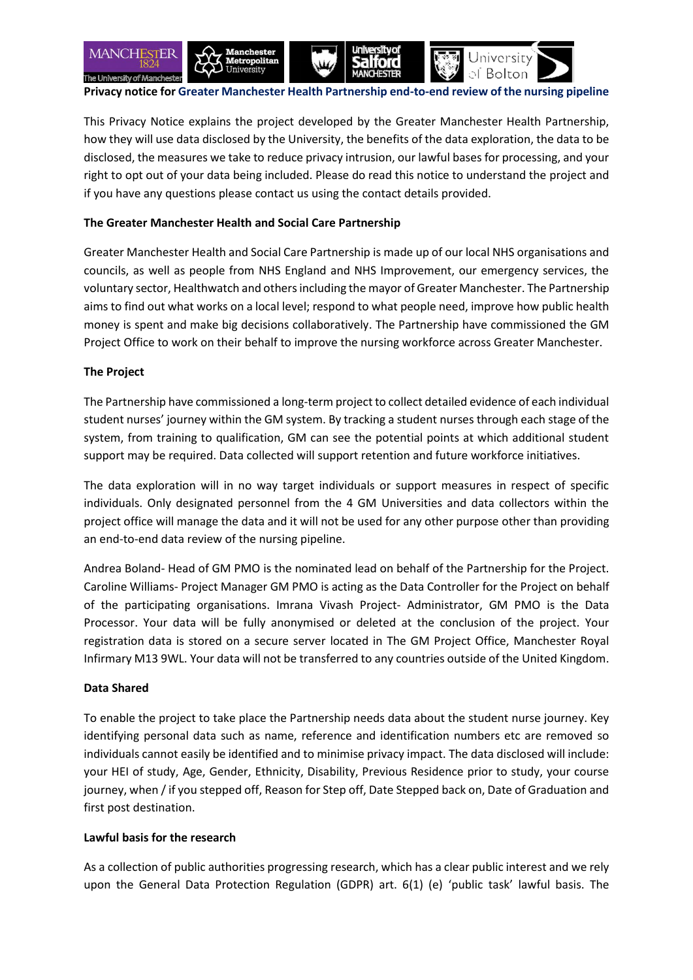

**Privacy notice for Greater Manchester Health Partnership end-to-end review of the nursing pipeline**

This Privacy Notice explains the project developed by the Greater Manchester Health Partnership, how they will use data disclosed by the University, the benefits of the data exploration, the data to be disclosed, the measures we take to reduce privacy intrusion, our lawful bases for processing, and your right to opt out of your data being included. Please do read this notice to understand the project and if you have any questions please contact us using the contact details provided.

## **The Greater Manchester Health and Social Care Partnership**

Greater Manchester Health and Social Care Partnership is made up of our local NHS organisations and councils, as well as people from NHS England and NHS Improvement, our emergency services, the voluntary sector, Healthwatch and others including the mayor of Greater Manchester. The Partnership aims to find out what works on a local level; respond to what people need, improve how public health money is spent and make big decisions collaboratively. The Partnership have commissioned the GM Project Office to work on their behalf to improve the nursing workforce across Greater Manchester.

### **The Project**

The Partnership have commissioned a long-term project to collect detailed evidence of each individual student nurses' journey within the GM system. By tracking a student nurses through each stage of the system, from training to qualification, GM can see the potential points at which additional student support may be required. Data collected will support retention and future workforce initiatives.

The data exploration will in no way target individuals or support measures in respect of specific individuals. Only designated personnel from the 4 GM Universities and data collectors within the project office will manage the data and it will not be used for any other purpose other than providing an end-to-end data review of the nursing pipeline.

Andrea Boland- Head of GM PMO is the nominated lead on behalf of the Partnership for the Project. Caroline Williams- Project Manager GM PMO is acting as the Data Controller for the Project on behalf of the participating organisations. Imrana Vivash Project- Administrator, GM PMO is the Data Processor. Your data will be fully anonymised or deleted at the conclusion of the project. Your registration data is stored on a secure server located in The GM Project Office, Manchester Royal Infirmary M13 9WL. Your data will not be transferred to any countries outside of the United Kingdom.

### **Data Shared**

To enable the project to take place the Partnership needs data about the student nurse journey. Key identifying personal data such as name, reference and identification numbers etc are removed so individuals cannot easily be identified and to minimise privacy impact. The data disclosed will include: your HEI of study, Age, Gender, Ethnicity, Disability, Previous Residence prior to study, your course journey, when / if you stepped off, Reason for Step off, Date Stepped back on, Date of Graduation and first post destination.

### **Lawful basis for the research**

As a collection of public authorities progressing research, which has a clear public interest and we rely upon the General Data Protection Regulation (GDPR) art. 6(1) (e) 'public task' lawful basis. The